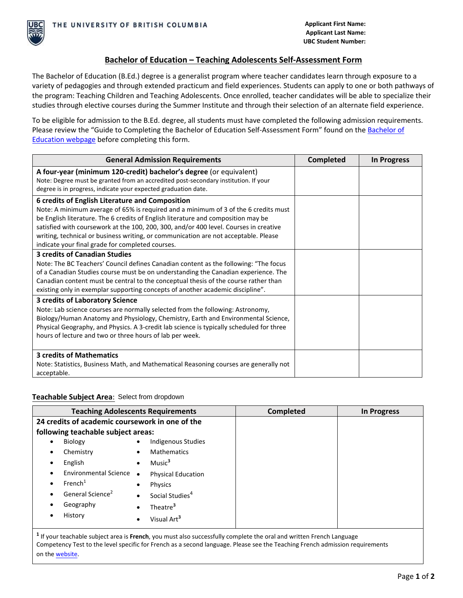

## **Bachelor of Education – Teaching Adolescents Self-Assessment Form**

The Bachelor of Education (B.Ed.) degree is a generalist program where teacher candidates learn through exposure to a variety of pedagogies and through extended practicum and field experiences. Students can apply to one or both pathways of the program: Teaching Children and Teaching Adolescents. Once enrolled, teacher candidates will be able to specialize their studies through elective courses during the Summer Institute and through their selection of an alternate field experience.

To be eligible for admission to the B.Ed. degree, all students must have completed the following admission requirements. Please review the "Guide to Completing the [Bachelor of](https://education.ok.ubc.ca/degrees-programs/bachelor-of-education/) Education Self-Assessment Form" found on the Bachelor of [Education webpage](https://education.ok.ubc.ca/degrees-programs/bachelor-of-education/) before completing this form.

| <b>General Admission Requirements</b>                                                                                                                                                                                                                                                                                                                                                                                                           | <b>Completed</b> | In Progress |
|-------------------------------------------------------------------------------------------------------------------------------------------------------------------------------------------------------------------------------------------------------------------------------------------------------------------------------------------------------------------------------------------------------------------------------------------------|------------------|-------------|
| A four-year (minimum 120-credit) bachelor's degree (or equivalent)<br>Note: Degree must be granted from an accredited post-secondary institution. If your<br>degree is in progress, indicate your expected graduation date.                                                                                                                                                                                                                     |                  |             |
| 6 credits of English Literature and Composition<br>Note: A minimum average of 65% is required and a minimum of 3 of the 6 credits must<br>be English literature. The 6 credits of English literature and composition may be<br>satisfied with coursework at the 100, 200, 300, and/or 400 level. Courses in creative<br>writing, technical or business writing, or communication are not acceptable. Please                                     |                  |             |
| indicate your final grade for completed courses.<br><b>3 credits of Canadian Studies</b><br>Note: The BC Teachers' Council defines Canadian content as the following: "The focus<br>of a Canadian Studies course must be on understanding the Canadian experience. The<br>Canadian content must be central to the conceptual thesis of the course rather than<br>existing only in exemplar supporting concepts of another academic discipline". |                  |             |
| 3 credits of Laboratory Science<br>Note: Lab science courses are normally selected from the following: Astronomy,<br>Biology/Human Anatomy and Physiology, Chemistry, Earth and Environmental Science,<br>Physical Geography, and Physics. A 3-credit lab science is typically scheduled for three<br>hours of lecture and two or three hours of lab per week.                                                                                  |                  |             |
| <b>3 credits of Mathematics</b><br>Note: Statistics, Business Math, and Mathematical Reasoning courses are generally not<br>acceptable.                                                                                                                                                                                                                                                                                                         |                  |             |

## **Teachable Subject Area**: Select from dropdown

|                                                 | <b>Teaching Adolescents Requirements</b> | <b>Completed</b> | <b>In Progress</b> |
|-------------------------------------------------|------------------------------------------|------------------|--------------------|
| 24 credits of academic coursework in one of the |                                          |                  |                    |
| following teachable subject areas:              |                                          |                  |                    |
| Biology<br>٠                                    | Indigenous Studies                       |                  |                    |
| Chemistry<br>٠                                  | <b>Mathematics</b><br>$\bullet$          |                  |                    |
| English<br>٠                                    | Music <sup>3</sup><br>$\bullet$          |                  |                    |
| Environmental Science •<br>$\bullet$            | <b>Physical Education</b>                |                  |                    |
| French <sup>1</sup><br>$\bullet$                | Physics<br>$\bullet$                     |                  |                    |
| General Science <sup>2</sup><br>٠               | Social Studies <sup>4</sup><br>$\bullet$ |                  |                    |
| Geography<br>$\bullet$                          | Theatre <sup>3</sup><br>$\bullet$        |                  |                    |
| History<br>٠                                    | Visual Art <sup>3</sup><br>٠             |                  |                    |

**1** If your teachable subject area is **French**, you must also successfully complete the oral and written French Language Competency Test to the level specific for French as a second language. Please see the Teaching French admission requirements on the [website.](https://education.ok.ubc.ca/degrees-programs/bachelor-of-education/)